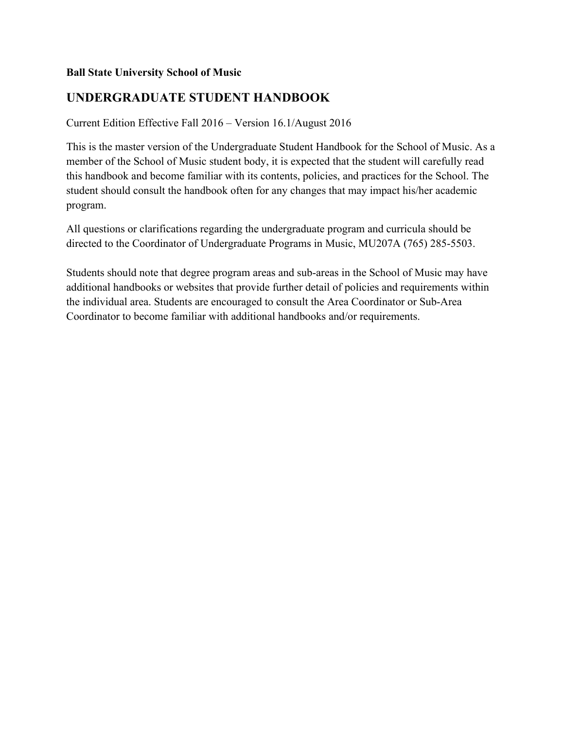## **Ball State University School of Music**

# **UNDERGRADUATE STUDENT HANDBOOK**

Current Edition Effective Fall 2016 – Version 16.1/August 2016

This is the master version of the Undergraduate Student Handbook for the School of Music. As a member of the School of Music student body, it is expected that the student will carefully read this handbook and become familiar with its contents, policies, and practices for the School. The student should consult the handbook often for any changes that may impact his/her academic program.

All questions or clarifications regarding the undergraduate program and curricula should be directed to the Coordinator of Undergraduate Programs in Music, MU207A (765) 285-5503.

Students should note that degree program areas and sub-areas in the School of Music may have additional handbooks or websites that provide further detail of policies and requirements within the individual area. Students are encouraged to consult the Area Coordinator or Sub-Area Coordinator to become familiar with additional handbooks and/or requirements.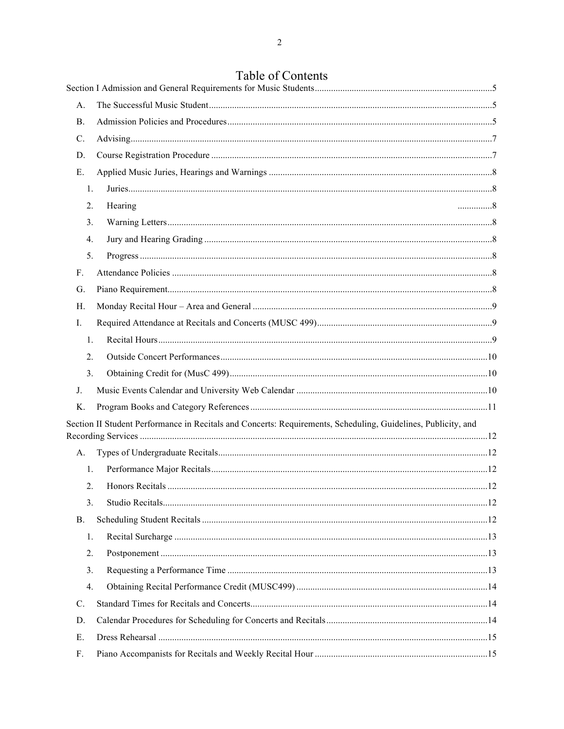# Table of Contents

| A <sub>1</sub>   |                                                                                                               |  |
|------------------|---------------------------------------------------------------------------------------------------------------|--|
| <b>B.</b>        |                                                                                                               |  |
| C.               |                                                                                                               |  |
| D.               |                                                                                                               |  |
| Ε.               |                                                                                                               |  |
| 1.               |                                                                                                               |  |
| 2.               | Hearing<br>. 8                                                                                                |  |
| 3.               |                                                                                                               |  |
| $\overline{4}$ . |                                                                                                               |  |
| 5.               |                                                                                                               |  |
| F.               |                                                                                                               |  |
| G.               |                                                                                                               |  |
| H.               |                                                                                                               |  |
| Ι.               |                                                                                                               |  |
| 1.               |                                                                                                               |  |
| 2.               |                                                                                                               |  |
| 3.               |                                                                                                               |  |
| J.               |                                                                                                               |  |
| Κ.               |                                                                                                               |  |
|                  | Section II Student Performance in Recitals and Concerts: Requirements, Scheduling, Guidelines, Publicity, and |  |
| A.               |                                                                                                               |  |
| 1.               |                                                                                                               |  |
| 2.               |                                                                                                               |  |
| 3.               |                                                                                                               |  |
| <b>B.</b>        |                                                                                                               |  |
| 1.               |                                                                                                               |  |
| 2.               |                                                                                                               |  |
| 3.               |                                                                                                               |  |
| $\overline{4}$ . |                                                                                                               |  |
| $\mathcal{C}$ .  |                                                                                                               |  |
| D.               |                                                                                                               |  |
| Ε.               |                                                                                                               |  |
| F.               |                                                                                                               |  |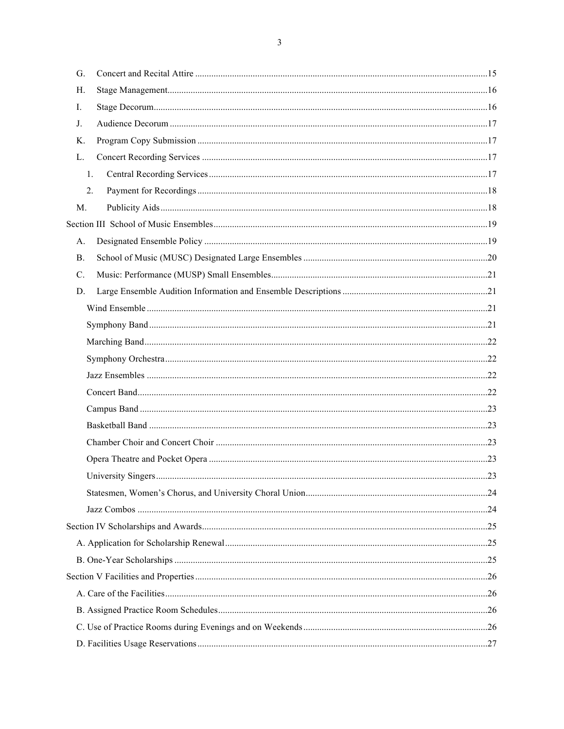| G.             |     |
|----------------|-----|
| H.             |     |
| I.             |     |
| $J_{\cdot}$    |     |
| Κ.             |     |
| L.             |     |
| $\mathbf{1}$ . |     |
| 2.             |     |
| M.             |     |
|                |     |
| A.             |     |
| <b>B.</b>      |     |
| $C$ .          |     |
| D.             |     |
|                |     |
|                |     |
|                |     |
|                |     |
|                |     |
|                |     |
|                |     |
|                |     |
|                |     |
|                |     |
|                | .23 |
|                |     |
|                |     |
|                |     |
|                |     |
|                |     |
|                |     |
|                |     |
|                |     |
|                |     |
|                |     |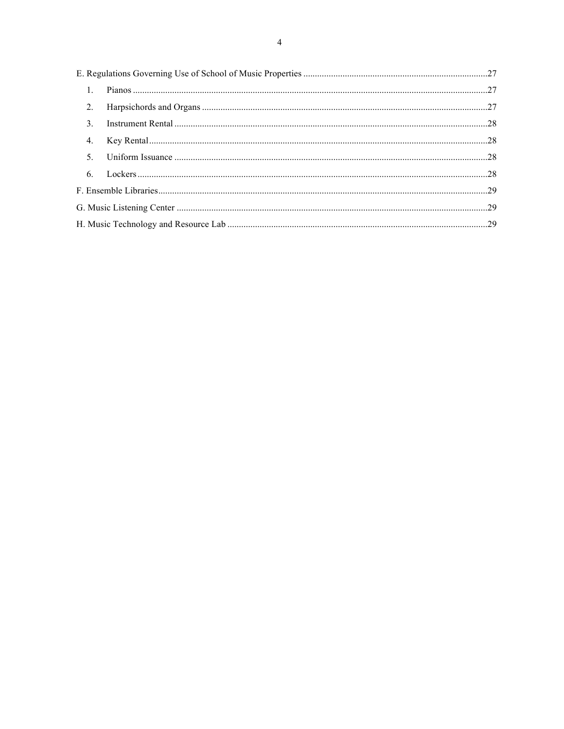|  | $\mathbf{1}$ . |  |  |
|--|----------------|--|--|
|  | 2.             |  |  |
|  | 3.             |  |  |
|  | 4.             |  |  |
|  | $\mathcal{F}$  |  |  |
|  |                |  |  |
|  |                |  |  |
|  |                |  |  |
|  |                |  |  |
|  |                |  |  |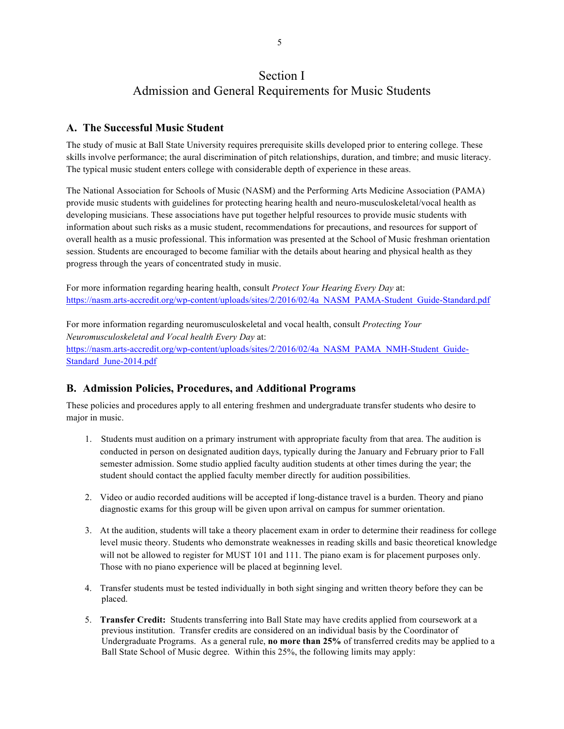# Section I Admission and General Requirements for Music Students

## **A. The Successful Music Student**

The study of music at Ball State University requires prerequisite skills developed prior to entering college. These skills involve performance; the aural discrimination of pitch relationships, duration, and timbre; and music literacy. The typical music student enters college with considerable depth of experience in these areas.

The National Association for Schools of Music (NASM) and the Performing Arts Medicine Association (PAMA) provide music students with guidelines for protecting hearing health and neuro-musculoskeletal/vocal health as developing musicians. These associations have put together helpful resources to provide music students with information about such risks as a music student, recommendations for precautions, and resources for support of overall health as a music professional. This information was presented at the School of Music freshman orientation session. Students are encouraged to become familiar with the details about hearing and physical health as they progress through the years of concentrated study in music.

For more information regarding hearing health, consult *Protect Your Hearing Every Day* at: https://nasm.arts-accredit.org/wp-content/uploads/sites/2/2016/02/4a\_NASM\_PAMA-Student\_Guide-Standard.pdf

For more information regarding neuromusculoskeletal and vocal health, consult *Protecting Your Neuromusculoskeletal and Vocal health Every Day* at: https://nasm.arts-accredit.org/wp-content/uploads/sites/2/2016/02/4a\_NASM\_PAMA\_NMH-Student\_Guide-Standard\_June-2014.pdf

## **B. Admission Policies, Procedures, and Additional Programs**

These policies and procedures apply to all entering freshmen and undergraduate transfer students who desire to major in music.

- 1. Students must audition on a primary instrument with appropriate faculty from that area. The audition is conducted in person on designated audition days, typically during the January and February prior to Fall semester admission. Some studio applied faculty audition students at other times during the year; the student should contact the applied faculty member directly for audition possibilities.
- 2. Video or audio recorded auditions will be accepted if long-distance travel is a burden. Theory and piano diagnostic exams for this group will be given upon arrival on campus for summer orientation.
- 3. At the audition, students will take a theory placement exam in order to determine their readiness for college level music theory. Students who demonstrate weaknesses in reading skills and basic theoretical knowledge will not be allowed to register for MUST 101 and 111. The piano exam is for placement purposes only. Those with no piano experience will be placed at beginning level.
- 4. Transfer students must be tested individually in both sight singing and written theory before they can be placed.
- 5. **Transfer Credit:** Students transferring into Ball State may have credits applied from coursework at a previous institution. Transfer credits are considered on an individual basis by the Coordinator of Undergraduate Programs. As a general rule, **no more than 25%** of transferred credits may be applied to a Ball State School of Music degree. Within this 25%, the following limits may apply: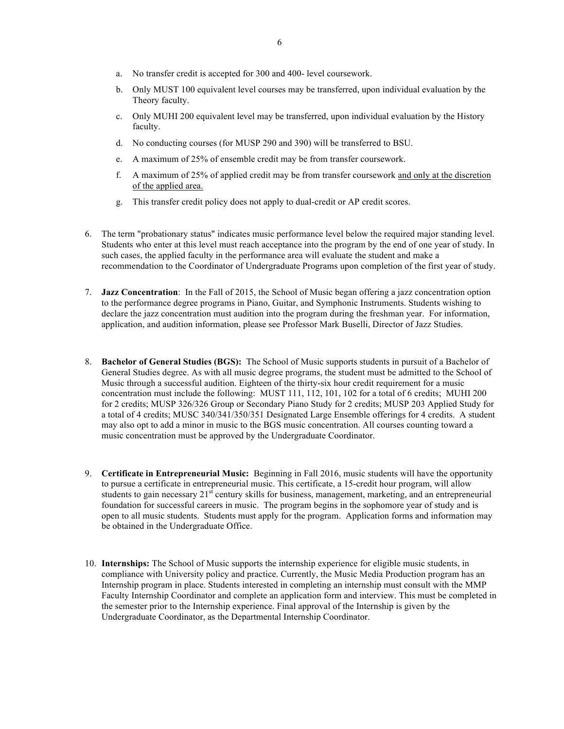- a. No transfer credit is accepted for 300 and 400- level coursework.
- b. Only MUST 100 equivalent level courses may be transferred, upon individual evaluation by the Theory faculty.
- c. Only MUHI 200 equivalent level may be transferred, upon individual evaluation by the History faculty.
- d. No conducting courses (for MUSP 290 and 390) will be transferred to BSU.
- e. A maximum of 25% of ensemble credit may be from transfer coursework.
- f. A maximum of 25% of applied credit may be from transfer coursework and only at the discretion of the applied area.
- g. This transfer credit policy does not apply to dual-credit or AP credit scores.
- 6. The term "probationary status" indicates music performance level below the required major standing level. Students who enter at this level must reach acceptance into the program by the end of one year of study. In such cases, the applied faculty in the performance area will evaluate the student and make a recommendation to the Coordinator of Undergraduate Programs upon completion of the first year of study.
- 7. **Jazz Concentration**: In the Fall of 2015, the School of Music began offering a jazz concentration option to the performance degree programs in Piano, Guitar, and Symphonic Instruments. Students wishing to declare the jazz concentration must audition into the program during the freshman year. For information, application, and audition information, please see Professor Mark Buselli, Director of Jazz Studies.
- 8. **Bachelor of General Studies (BGS):** The School of Music supports students in pursuit of a Bachelor of General Studies degree. As with all music degree programs, the student must be admitted to the School of Music through a successful audition. Eighteen of the thirty-six hour credit requirement for a music concentration must include the following: MUST 111, 112, 101, 102 for a total of 6 credits; MUHI 200 for 2 credits; MUSP 326/326 Group or Secondary Piano Study for 2 credits; MUSP 203 Applied Study for a total of 4 credits; MUSC 340/341/350/351 Designated Large Ensemble offerings for 4 credits. A student may also opt to add a minor in music to the BGS music concentration. All courses counting toward a music concentration must be approved by the Undergraduate Coordinator.
- 9. **Certificate in Entrepreneurial Music:** Beginning in Fall 2016, music students will have the opportunity to pursue a certificate in entrepreneurial music. This certificate, a 15-credit hour program, will allow students to gain necessary  $21^{s\bar{s}}$  century skills for business, management, marketing, and an entrepreneurial foundation for successful careers in music. The program begins in the sophomore year of study and is open to all music students. Students must apply for the program. Application forms and information may be obtained in the Undergraduate Office.
- 10. **Internships:** The School of Music supports the internship experience for eligible music students, in compliance with University policy and practice. Currently, the Music Media Production program has an Internship program in place. Students interested in completing an internship must consult with the MMP Faculty Internship Coordinator and complete an application form and interview. This must be completed in the semester prior to the Internship experience. Final approval of the Internship is given by the Undergraduate Coordinator, as the Departmental Internship Coordinator.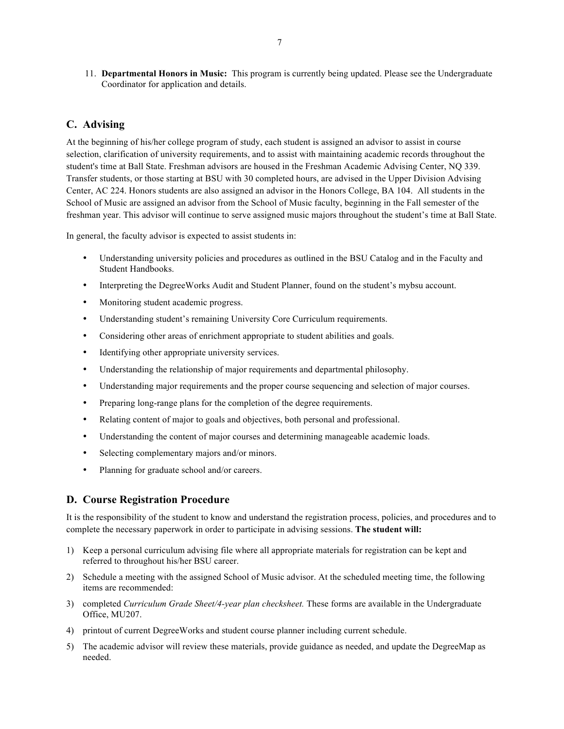11. **Departmental Honors in Music:** This program is currently being updated. Please see the Undergraduate Coordinator for application and details.

## **C. Advising**

At the beginning of his/her college program of study, each student is assigned an advisor to assist in course selection, clarification of university requirements, and to assist with maintaining academic records throughout the student's time at Ball State. Freshman advisors are housed in the Freshman Academic Advising Center, NQ 339. Transfer students, or those starting at BSU with 30 completed hours, are advised in the Upper Division Advising Center, AC 224. Honors students are also assigned an advisor in the Honors College, BA 104. All students in the School of Music are assigned an advisor from the School of Music faculty, beginning in the Fall semester of the freshman year. This advisor will continue to serve assigned music majors throughout the student's time at Ball State.

In general, the faculty advisor is expected to assist students in:

- Understanding university policies and procedures as outlined in the BSU Catalog and in the Faculty and Student Handbooks.
- Interpreting the DegreeWorks Audit and Student Planner, found on the student's mybsu account.
- Monitoring student academic progress.
- Understanding student's remaining University Core Curriculum requirements.
- Considering other areas of enrichment appropriate to student abilities and goals.
- Identifying other appropriate university services.
- Understanding the relationship of major requirements and departmental philosophy.
- Understanding major requirements and the proper course sequencing and selection of major courses.
- Preparing long-range plans for the completion of the degree requirements.
- Relating content of major to goals and objectives, both personal and professional.
- Understanding the content of major courses and determining manageable academic loads.
- Selecting complementary majors and/or minors.
- Planning for graduate school and/or careers.

### **D. Course Registration Procedure**

It is the responsibility of the student to know and understand the registration process, policies, and procedures and to complete the necessary paperwork in order to participate in advising sessions. **The student will:**

- 1) Keep a personal curriculum advising file where all appropriate materials for registration can be kept and referred to throughout his/her BSU career.
- 2) Schedule a meeting with the assigned School of Music advisor. At the scheduled meeting time, the following items are recommended:
- 3) completed *Curriculum Grade Sheet/4-year plan checksheet.* These forms are available in the Undergraduate Office, MU207.
- 4) printout of current DegreeWorks and student course planner including current schedule.
- 5) The academic advisor will review these materials, provide guidance as needed, and update the DegreeMap as needed.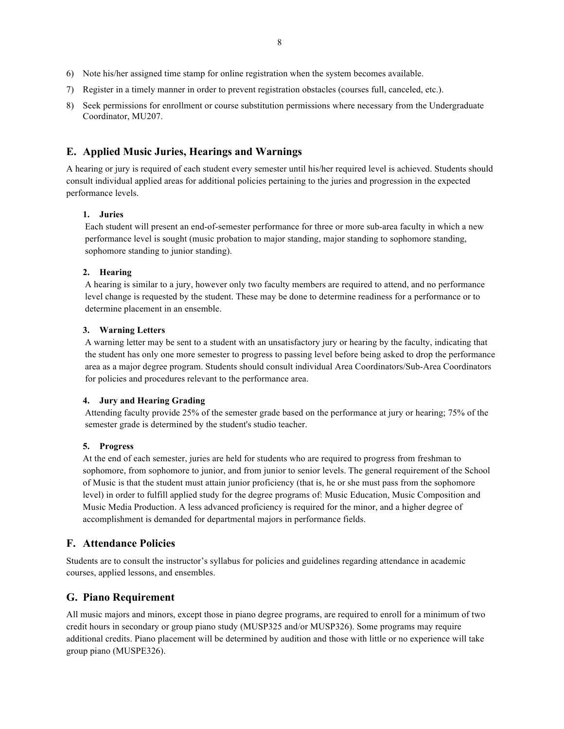- 6) Note his/her assigned time stamp for online registration when the system becomes available.
- 7) Register in a timely manner in order to prevent registration obstacles (courses full, canceled, etc.).
- 8) Seek permissions for enrollment or course substitution permissions where necessary from the Undergraduate Coordinator, MU207.

## **E. Applied Music Juries, Hearings and Warnings**

A hearing or jury is required of each student every semester until his/her required level is achieved. Students should consult individual applied areas for additional policies pertaining to the juries and progression in the expected performance levels.

#### **1. Juries**

Each student will present an end-of-semester performance for three or more sub-area faculty in which a new performance level is sought (music probation to major standing, major standing to sophomore standing, sophomore standing to junior standing).

#### **2. Hearing**

A hearing is similar to a jury, however only two faculty members are required to attend, and no performance level change is requested by the student. These may be done to determine readiness for a performance or to determine placement in an ensemble.

#### **3. Warning Letters**

A warning letter may be sent to a student with an unsatisfactory jury or hearing by the faculty, indicating that the student has only one more semester to progress to passing level before being asked to drop the performance area as a major degree program. Students should consult individual Area Coordinators/Sub-Area Coordinators for policies and procedures relevant to the performance area.

#### **4. Jury and Hearing Grading**

Attending faculty provide 25% of the semester grade based on the performance at jury or hearing; 75% of the semester grade is determined by the student's studio teacher.

#### **5. Progress**

At the end of each semester, juries are held for students who are required to progress from freshman to sophomore, from sophomore to junior, and from junior to senior levels. The general requirement of the School of Music is that the student must attain junior proficiency (that is, he or she must pass from the sophomore level) in order to fulfill applied study for the degree programs of: Music Education, Music Composition and Music Media Production. A less advanced proficiency is required for the minor, and a higher degree of accomplishment is demanded for departmental majors in performance fields.

## **F. Attendance Policies**

Students are to consult the instructor's syllabus for policies and guidelines regarding attendance in academic courses, applied lessons, and ensembles.

#### **G. Piano Requirement**

All music majors and minors, except those in piano degree programs, are required to enroll for a minimum of two credit hours in secondary or group piano study (MUSP325 and/or MUSP326). Some programs may require additional credits. Piano placement will be determined by audition and those with little or no experience will take group piano (MUSPE326).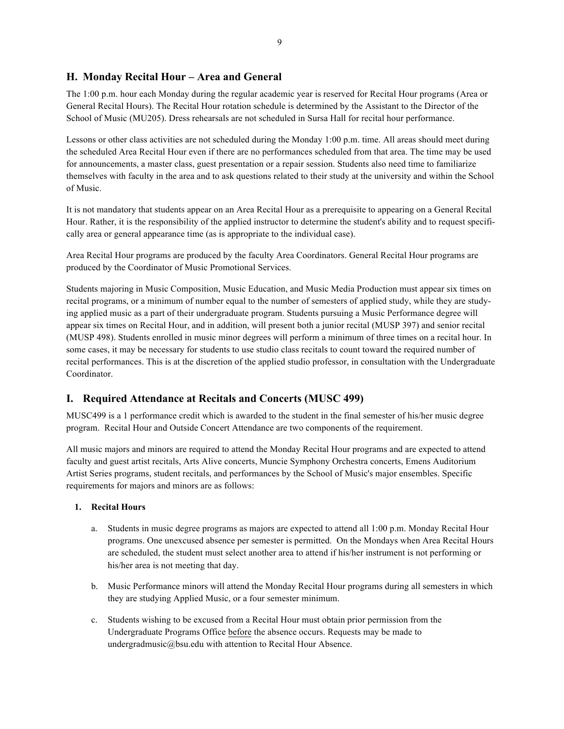## **H. Monday Recital Hour – Area and General**

The 1:00 p.m. hour each Monday during the regular academic year is reserved for Recital Hour programs (Area or General Recital Hours). The Recital Hour rotation schedule is determined by the Assistant to the Director of the School of Music (MU205). Dress rehearsals are not scheduled in Sursa Hall for recital hour performance.

Lessons or other class activities are not scheduled during the Monday 1:00 p.m. time. All areas should meet during the scheduled Area Recital Hour even if there are no performances scheduled from that area. The time may be used for announcements, a master class, guest presentation or a repair session. Students also need time to familiarize themselves with faculty in the area and to ask questions related to their study at the university and within the School of Music.

It is not mandatory that students appear on an Area Recital Hour as a prerequisite to appearing on a General Recital Hour. Rather, it is the responsibility of the applied instructor to determine the student's ability and to request specifically area or general appearance time (as is appropriate to the individual case).

Area Recital Hour programs are produced by the faculty Area Coordinators. General Recital Hour programs are produced by the Coordinator of Music Promotional Services.

Students majoring in Music Composition, Music Education, and Music Media Production must appear six times on recital programs, or a minimum of number equal to the number of semesters of applied study, while they are studying applied music as a part of their undergraduate program. Students pursuing a Music Performance degree will appear six times on Recital Hour, and in addition, will present both a junior recital (MUSP 397) and senior recital (MUSP 498). Students enrolled in music minor degrees will perform a minimum of three times on a recital hour. In some cases, it may be necessary for students to use studio class recitals to count toward the required number of recital performances. This is at the discretion of the applied studio professor, in consultation with the Undergraduate Coordinator.

## **I. Required Attendance at Recitals and Concerts (MUSC 499)**

MUSC499 is a 1 performance credit which is awarded to the student in the final semester of his/her music degree program. Recital Hour and Outside Concert Attendance are two components of the requirement.

All music majors and minors are required to attend the Monday Recital Hour programs and are expected to attend faculty and guest artist recitals, Arts Alive concerts, Muncie Symphony Orchestra concerts, Emens Auditorium Artist Series programs, student recitals, and performances by the School of Music's major ensembles. Specific requirements for majors and minors are as follows:

### **1. Recital Hours**

- a. Students in music degree programs as majors are expected to attend all 1:00 p.m. Monday Recital Hour programs. One unexcused absence per semester is permitted. On the Mondays when Area Recital Hours are scheduled, the student must select another area to attend if his/her instrument is not performing or his/her area is not meeting that day.
- b. Music Performance minors will attend the Monday Recital Hour programs during all semesters in which they are studying Applied Music, or a four semester minimum.
- c. Students wishing to be excused from a Recital Hour must obtain prior permission from the Undergraduate Programs Office before the absence occurs. Requests may be made to undergradmusic@bsu.edu with attention to Recital Hour Absence.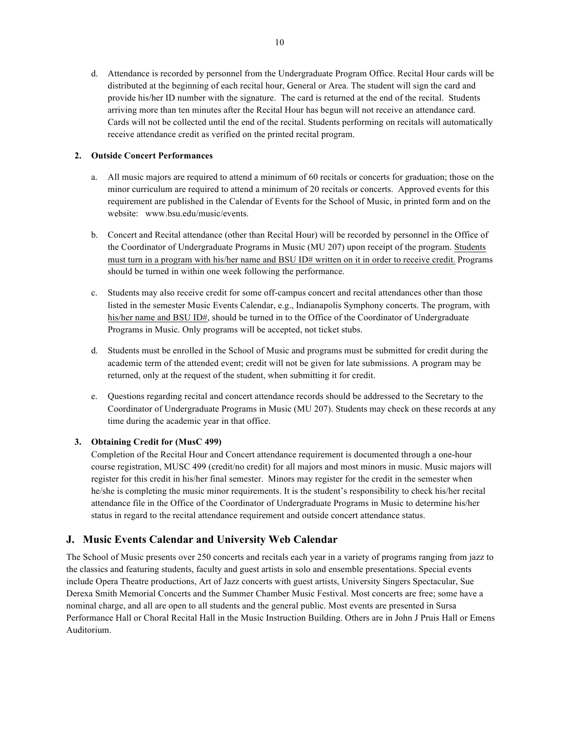d. Attendance is recorded by personnel from the Undergraduate Program Office. Recital Hour cards will be distributed at the beginning of each recital hour, General or Area. The student will sign the card and provide his/her ID number with the signature. The card is returned at the end of the recital. Students arriving more than ten minutes after the Recital Hour has begun will not receive an attendance card. Cards will not be collected until the end of the recital. Students performing on recitals will automatically receive attendance credit as verified on the printed recital program.

### **2. Outside Concert Performances**

- a. All music majors are required to attend a minimum of 60 recitals or concerts for graduation; those on the minor curriculum are required to attend a minimum of 20 recitals or concerts. Approved events for this requirement are published in the Calendar of Events for the School of Music, in printed form and on the website: www.bsu.edu/music/events.
- b. Concert and Recital attendance (other than Recital Hour) will be recorded by personnel in the Office of the Coordinator of Undergraduate Programs in Music (MU 207) upon receipt of the program. Students must turn in a program with his/her name and BSU ID# written on it in order to receive credit. Programs should be turned in within one week following the performance.
- c. Students may also receive credit for some off-campus concert and recital attendances other than those listed in the semester Music Events Calendar, e.g., Indianapolis Symphony concerts. The program, with his/her name and BSU ID#, should be turned in to the Office of the Coordinator of Undergraduate Programs in Music. Only programs will be accepted, not ticket stubs.
- d. Students must be enrolled in the School of Music and programs must be submitted for credit during the academic term of the attended event; credit will not be given for late submissions. A program may be returned, only at the request of the student, when submitting it for credit.
- e. Questions regarding recital and concert attendance records should be addressed to the Secretary to the Coordinator of Undergraduate Programs in Music (MU 207). Students may check on these records at any time during the academic year in that office.

## **3. Obtaining Credit for (MusC 499)**

Completion of the Recital Hour and Concert attendance requirement is documented through a one-hour course registration, MUSC 499 (credit/no credit) for all majors and most minors in music. Music majors will register for this credit in his/her final semester. Minors may register for the credit in the semester when he/she is completing the music minor requirements. It is the student's responsibility to check his/her recital attendance file in the Office of the Coordinator of Undergraduate Programs in Music to determine his/her status in regard to the recital attendance requirement and outside concert attendance status.

## **J. Music Events Calendar and University Web Calendar**

The School of Music presents over 250 concerts and recitals each year in a variety of programs ranging from jazz to the classics and featuring students, faculty and guest artists in solo and ensemble presentations. Special events include Opera Theatre productions, Art of Jazz concerts with guest artists, University Singers Spectacular, Sue Derexa Smith Memorial Concerts and the Summer Chamber Music Festival. Most concerts are free; some have a nominal charge, and all are open to all students and the general public. Most events are presented in Sursa Performance Hall or Choral Recital Hall in the Music Instruction Building. Others are in John J Pruis Hall or Emens Auditorium.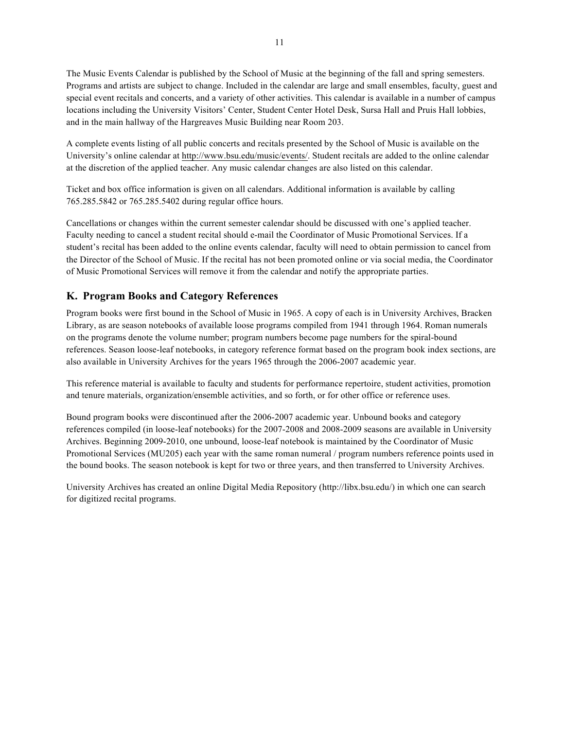The Music Events Calendar is published by the School of Music at the beginning of the fall and spring semesters. Programs and artists are subject to change. Included in the calendar are large and small ensembles, faculty, guest and special event recitals and concerts, and a variety of other activities. This calendar is available in a number of campus locations including the University Visitors' Center, Student Center Hotel Desk, Sursa Hall and Pruis Hall lobbies, and in the main hallway of the Hargreaves Music Building near Room 203.

A complete events listing of all public concerts and recitals presented by the School of Music is available on the University's online calendar at http://www.bsu.edu/music/events/. Student recitals are added to the online calendar at the discretion of the applied teacher. Any music calendar changes are also listed on this calendar.

Ticket and box office information is given on all calendars. Additional information is available by calling 765.285.5842 or 765.285.5402 during regular office hours.

Cancellations or changes within the current semester calendar should be discussed with one's applied teacher. Faculty needing to cancel a student recital should e-mail the Coordinator of Music Promotional Services. If a student's recital has been added to the online events calendar, faculty will need to obtain permission to cancel from the Director of the School of Music. If the recital has not been promoted online or via social media, the Coordinator of Music Promotional Services will remove it from the calendar and notify the appropriate parties.

## **K. Program Books and Category References**

Program books were first bound in the School of Music in 1965. A copy of each is in University Archives, Bracken Library, as are season notebooks of available loose programs compiled from 1941 through 1964. Roman numerals on the programs denote the volume number; program numbers become page numbers for the spiral-bound references. Season loose-leaf notebooks, in category reference format based on the program book index sections, are also available in University Archives for the years 1965 through the 2006-2007 academic year.

This reference material is available to faculty and students for performance repertoire, student activities, promotion and tenure materials, organization/ensemble activities, and so forth, or for other office or reference uses.

Bound program books were discontinued after the 2006-2007 academic year. Unbound books and category references compiled (in loose-leaf notebooks) for the 2007-2008 and 2008-2009 seasons are available in University Archives. Beginning 2009-2010, one unbound, loose-leaf notebook is maintained by the Coordinator of Music Promotional Services (MU205) each year with the same roman numeral / program numbers reference points used in the bound books. The season notebook is kept for two or three years, and then transferred to University Archives.

University Archives has created an online Digital Media Repository (http://libx.bsu.edu/) in which one can search for digitized recital programs.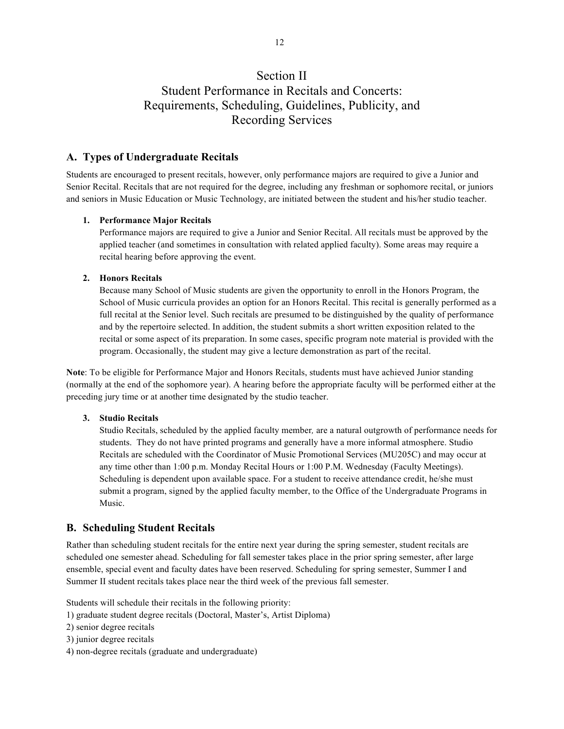# Section II Student Performance in Recitals and Concerts: Requirements, Scheduling, Guidelines, Publicity, and Recording Services

## **A. Types of Undergraduate Recitals**

Students are encouraged to present recitals, however, only performance majors are required to give a Junior and Senior Recital. Recitals that are not required for the degree, including any freshman or sophomore recital, or juniors and seniors in Music Education or Music Technology, are initiated between the student and his/her studio teacher.

#### **1. Performance Major Recitals**

Performance majors are required to give a Junior and Senior Recital. All recitals must be approved by the applied teacher (and sometimes in consultation with related applied faculty). Some areas may require a recital hearing before approving the event.

#### **2. Honors Recitals**

Because many School of Music students are given the opportunity to enroll in the Honors Program, the School of Music curricula provides an option for an Honors Recital. This recital is generally performed as a full recital at the Senior level. Such recitals are presumed to be distinguished by the quality of performance and by the repertoire selected. In addition, the student submits a short written exposition related to the recital or some aspect of its preparation. In some cases, specific program note material is provided with the program. Occasionally, the student may give a lecture demonstration as part of the recital.

**Note**: To be eligible for Performance Major and Honors Recitals, students must have achieved Junior standing (normally at the end of the sophomore year). A hearing before the appropriate faculty will be performed either at the preceding jury time or at another time designated by the studio teacher.

#### **3. Studio Recitals**

Studio Recitals, scheduled by the applied faculty member*,* are a natural outgrowth of performance needs for students. They do not have printed programs and generally have a more informal atmosphere. Studio Recitals are scheduled with the Coordinator of Music Promotional Services (MU205C) and may occur at any time other than 1:00 p.m. Monday Recital Hours or 1:00 P.M. Wednesday (Faculty Meetings). Scheduling is dependent upon available space. For a student to receive attendance credit, he/she must submit a program, signed by the applied faculty member, to the Office of the Undergraduate Programs in Music.

### **B. Scheduling Student Recitals**

Rather than scheduling student recitals for the entire next year during the spring semester, student recitals are scheduled one semester ahead. Scheduling for fall semester takes place in the prior spring semester, after large ensemble, special event and faculty dates have been reserved. Scheduling for spring semester, Summer I and Summer II student recitals takes place near the third week of the previous fall semester.

Students will schedule their recitals in the following priority:

- 1) graduate student degree recitals (Doctoral, Master's, Artist Diploma)
- 2) senior degree recitals
- 3) junior degree recitals
- 4) non-degree recitals (graduate and undergraduate)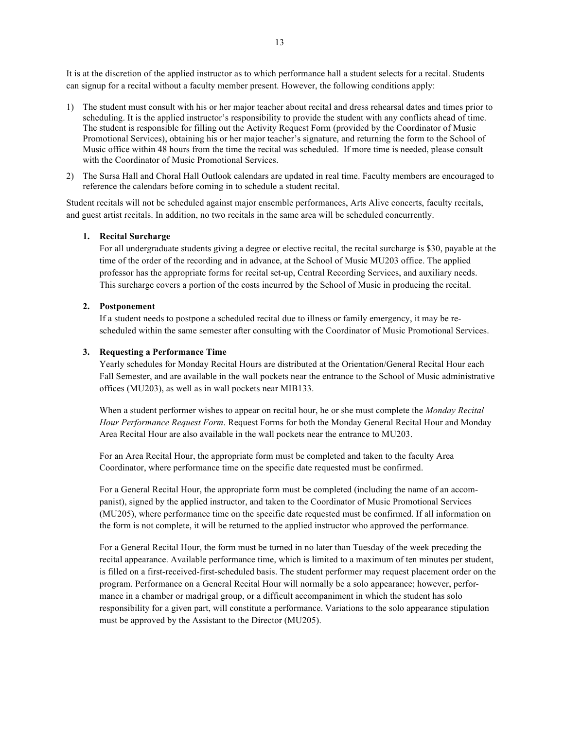It is at the discretion of the applied instructor as to which performance hall a student selects for a recital. Students can signup for a recital without a faculty member present. However, the following conditions apply:

- 1) The student must consult with his or her major teacher about recital and dress rehearsal dates and times prior to scheduling. It is the applied instructor's responsibility to provide the student with any conflicts ahead of time. The student is responsible for filling out the Activity Request Form (provided by the Coordinator of Music Promotional Services), obtaining his or her major teacher's signature, and returning the form to the School of Music office within 48 hours from the time the recital was scheduled. If more time is needed, please consult with the Coordinator of Music Promotional Services.
- 2) The Sursa Hall and Choral Hall Outlook calendars are updated in real time. Faculty members are encouraged to reference the calendars before coming in to schedule a student recital.

Student recitals will not be scheduled against major ensemble performances, Arts Alive concerts, faculty recitals, and guest artist recitals. In addition, no two recitals in the same area will be scheduled concurrently.

#### **1. Recital Surcharge**

For all undergraduate students giving a degree or elective recital, the recital surcharge is \$30, payable at the time of the order of the recording and in advance, at the School of Music MU203 office. The applied professor has the appropriate forms for recital set-up, Central Recording Services, and auxiliary needs. This surcharge covers a portion of the costs incurred by the School of Music in producing the recital.

#### **2. Postponement**

If a student needs to postpone a scheduled recital due to illness or family emergency, it may be rescheduled within the same semester after consulting with the Coordinator of Music Promotional Services.

#### **3. Requesting a Performance Time**

Yearly schedules for Monday Recital Hours are distributed at the Orientation/General Recital Hour each Fall Semester, and are available in the wall pockets near the entrance to the School of Music administrative offices (MU203), as well as in wall pockets near MIB133.

When a student performer wishes to appear on recital hour, he or she must complete the *Monday Recital Hour Performance Request Form*. Request Forms for both the Monday General Recital Hour and Monday Area Recital Hour are also available in the wall pockets near the entrance to MU203.

For an Area Recital Hour, the appropriate form must be completed and taken to the faculty Area Coordinator, where performance time on the specific date requested must be confirmed.

For a General Recital Hour, the appropriate form must be completed (including the name of an accompanist), signed by the applied instructor, and taken to the Coordinator of Music Promotional Services (MU205), where performance time on the specific date requested must be confirmed. If all information on the form is not complete, it will be returned to the applied instructor who approved the performance.

For a General Recital Hour, the form must be turned in no later than Tuesday of the week preceding the recital appearance. Available performance time, which is limited to a maximum of ten minutes per student, is filled on a first-received-first-scheduled basis. The student performer may request placement order on the program. Performance on a General Recital Hour will normally be a solo appearance; however, performance in a chamber or madrigal group, or a difficult accompaniment in which the student has solo responsibility for a given part, will constitute a performance. Variations to the solo appearance stipulation must be approved by the Assistant to the Director (MU205).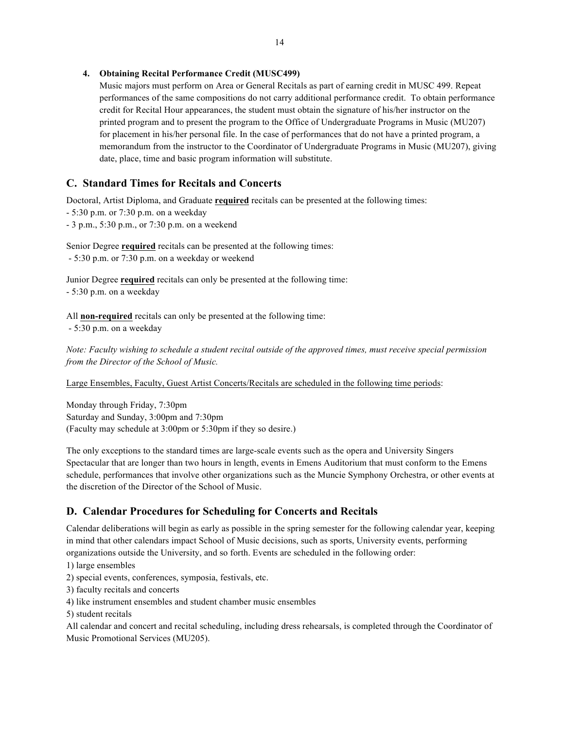## **4. Obtaining Recital Performance Credit (MUSC499)**

Music majors must perform on Area or General Recitals as part of earning credit in MUSC 499. Repeat performances of the same compositions do not carry additional performance credit. To obtain performance credit for Recital Hour appearances, the student must obtain the signature of his/her instructor on the printed program and to present the program to the Office of Undergraduate Programs in Music (MU207) for placement in his/her personal file. In the case of performances that do not have a printed program, a memorandum from the instructor to the Coordinator of Undergraduate Programs in Music (MU207), giving date, place, time and basic program information will substitute.

## **C. Standard Times for Recitals and Concerts**

Doctoral, Artist Diploma, and Graduate **required** recitals can be presented at the following times:

- 5:30 p.m. or 7:30 p.m. on a weekday
- 3 p.m., 5:30 p.m., or 7:30 p.m. on a weekend

Senior Degree **required** recitals can be presented at the following times: - 5:30 p.m. or 7:30 p.m. on a weekday or weekend

Junior Degree **required** recitals can only be presented at the following time: - 5:30 p.m. on a weekday

All **non-required** recitals can only be presented at the following time: - 5:30 p.m. on a weekday

*Note: Faculty wishing to schedule a student recital outside of the approved times, must receive special permission from the Director of the School of Music.*

Large Ensembles, Faculty, Guest Artist Concerts/Recitals are scheduled in the following time periods:

Monday through Friday, 7:30pm Saturday and Sunday, 3:00pm and 7:30pm (Faculty may schedule at 3:00pm or 5:30pm if they so desire.)

The only exceptions to the standard times are large-scale events such as the opera and University Singers Spectacular that are longer than two hours in length, events in Emens Auditorium that must conform to the Emens schedule, performances that involve other organizations such as the Muncie Symphony Orchestra, or other events at the discretion of the Director of the School of Music.

## **D. Calendar Procedures for Scheduling for Concerts and Recitals**

Calendar deliberations will begin as early as possible in the spring semester for the following calendar year, keeping in mind that other calendars impact School of Music decisions, such as sports, University events, performing organizations outside the University, and so forth. Events are scheduled in the following order:

1) large ensembles

- 2) special events, conferences, symposia, festivals, etc.
- 3) faculty recitals and concerts
- 4) like instrument ensembles and student chamber music ensembles
- 5) student recitals

All calendar and concert and recital scheduling, including dress rehearsals, is completed through the Coordinator of Music Promotional Services (MU205).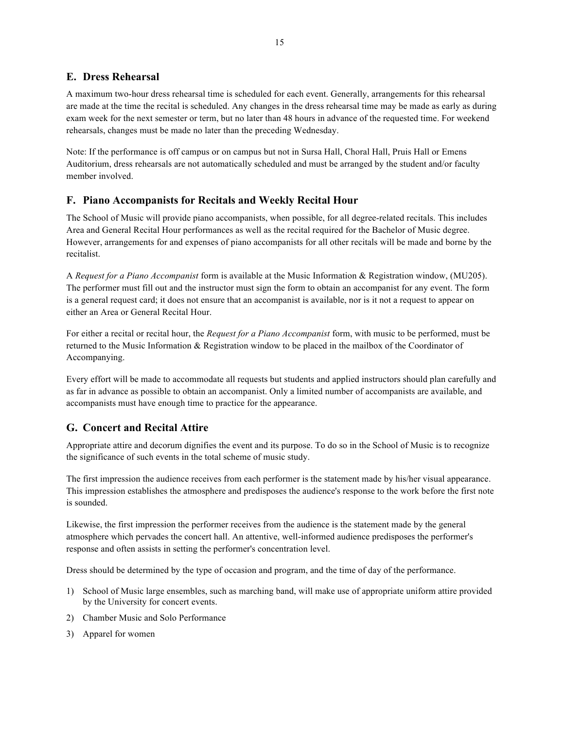## **E. Dress Rehearsal**

A maximum two-hour dress rehearsal time is scheduled for each event. Generally, arrangements for this rehearsal are made at the time the recital is scheduled. Any changes in the dress rehearsal time may be made as early as during exam week for the next semester or term, but no later than 48 hours in advance of the requested time. For weekend rehearsals, changes must be made no later than the preceding Wednesday.

Note: If the performance is off campus or on campus but not in Sursa Hall, Choral Hall, Pruis Hall or Emens Auditorium, dress rehearsals are not automatically scheduled and must be arranged by the student and/or faculty member involved.

## **F. Piano Accompanists for Recitals and Weekly Recital Hour**

The School of Music will provide piano accompanists, when possible, for all degree-related recitals. This includes Area and General Recital Hour performances as well as the recital required for the Bachelor of Music degree. However, arrangements for and expenses of piano accompanists for all other recitals will be made and borne by the recitalist.

A *Request for a Piano Accompanist* form is available at the Music Information & Registration window, (MU205). The performer must fill out and the instructor must sign the form to obtain an accompanist for any event. The form is a general request card; it does not ensure that an accompanist is available, nor is it not a request to appear on either an Area or General Recital Hour.

For either a recital or recital hour, the *Request for a Piano Accompanist* form, with music to be performed, must be returned to the Music Information & Registration window to be placed in the mailbox of the Coordinator of Accompanying.

Every effort will be made to accommodate all requests but students and applied instructors should plan carefully and as far in advance as possible to obtain an accompanist. Only a limited number of accompanists are available, and accompanists must have enough time to practice for the appearance.

## **G. Concert and Recital Attire**

Appropriate attire and decorum dignifies the event and its purpose. To do so in the School of Music is to recognize the significance of such events in the total scheme of music study.

The first impression the audience receives from each performer is the statement made by his/her visual appearance. This impression establishes the atmosphere and predisposes the audience's response to the work before the first note is sounded.

Likewise, the first impression the performer receives from the audience is the statement made by the general atmosphere which pervades the concert hall. An attentive, well-informed audience predisposes the performer's response and often assists in setting the performer's concentration level.

Dress should be determined by the type of occasion and program, and the time of day of the performance.

- 1) School of Music large ensembles, such as marching band, will make use of appropriate uniform attire provided by the University for concert events.
- 2) Chamber Music and Solo Performance
- 3) Apparel for women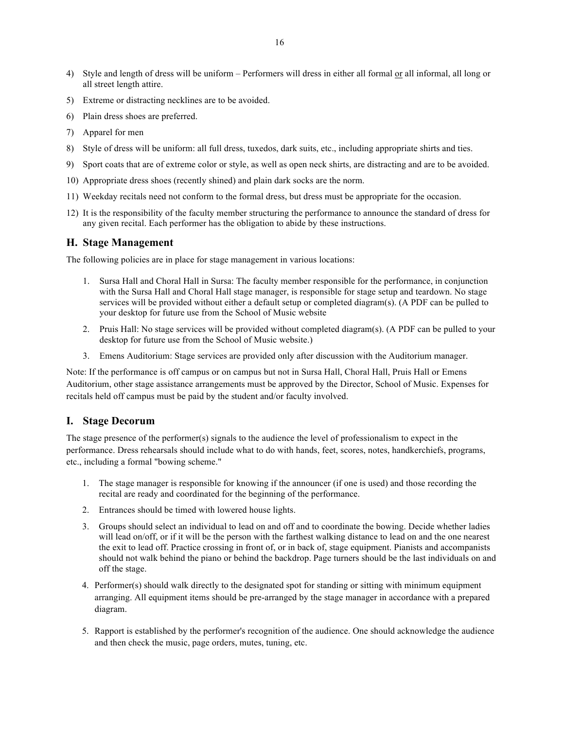- 4) Style and length of dress will be uniform Performers will dress in either all formal or all informal, all long or all street length attire.
- 5) Extreme or distracting necklines are to be avoided.
- 6) Plain dress shoes are preferred.
- 7) Apparel for men
- 8) Style of dress will be uniform: all full dress, tuxedos, dark suits, etc., including appropriate shirts and ties.
- 9) Sport coats that are of extreme color or style, as well as open neck shirts, are distracting and are to be avoided.
- 10) Appropriate dress shoes (recently shined) and plain dark socks are the norm.
- 11) Weekday recitals need not conform to the formal dress, but dress must be appropriate for the occasion.
- 12) It is the responsibility of the faculty member structuring the performance to announce the standard of dress for any given recital. Each performer has the obligation to abide by these instructions.

#### **H. Stage Management**

The following policies are in place for stage management in various locations:

- 1. Sursa Hall and Choral Hall in Sursa: The faculty member responsible for the performance, in conjunction with the Sursa Hall and Choral Hall stage manager, is responsible for stage setup and teardown. No stage services will be provided without either a default setup or completed diagram(s). (A PDF can be pulled to your desktop for future use from the School of Music website
- 2. Pruis Hall: No stage services will be provided without completed diagram(s). (A PDF can be pulled to your desktop for future use from the School of Music website.)
- 3. Emens Auditorium: Stage services are provided only after discussion with the Auditorium manager.

Note: If the performance is off campus or on campus but not in Sursa Hall, Choral Hall, Pruis Hall or Emens Auditorium, other stage assistance arrangements must be approved by the Director, School of Music. Expenses for recitals held off campus must be paid by the student and/or faculty involved.

### **I. Stage Decorum**

The stage presence of the performer(s) signals to the audience the level of professionalism to expect in the performance. Dress rehearsals should include what to do with hands, feet, scores, notes, handkerchiefs, programs, etc., including a formal "bowing scheme."

- 1. The stage manager is responsible for knowing if the announcer (if one is used) and those recording the recital are ready and coordinated for the beginning of the performance.
- 2. Entrances should be timed with lowered house lights.
- 3. Groups should select an individual to lead on and off and to coordinate the bowing. Decide whether ladies will lead on/off, or if it will be the person with the farthest walking distance to lead on and the one nearest the exit to lead off. Practice crossing in front of, or in back of, stage equipment. Pianists and accompanists should not walk behind the piano or behind the backdrop. Page turners should be the last individuals on and off the stage.
- 4. Performer(s) should walk directly to the designated spot for standing or sitting with minimum equipment arranging. All equipment items should be pre-arranged by the stage manager in accordance with a prepared diagram.
- 5. Rapport is established by the performer's recognition of the audience. One should acknowledge the audience and then check the music, page orders, mutes, tuning, etc.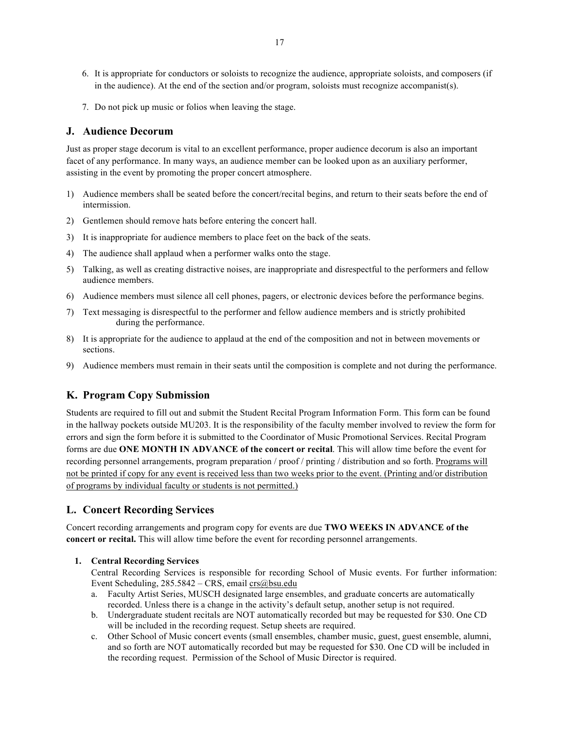- 6. It is appropriate for conductors or soloists to recognize the audience, appropriate soloists, and composers (if in the audience). At the end of the section and/or program, soloists must recognize accompanist(s).
- 7. Do not pick up music or folios when leaving the stage.

### **J. Audience Decorum**

Just as proper stage decorum is vital to an excellent performance, proper audience decorum is also an important facet of any performance. In many ways, an audience member can be looked upon as an auxiliary performer, assisting in the event by promoting the proper concert atmosphere.

- 1) Audience members shall be seated before the concert/recital begins, and return to their seats before the end of intermission.
- 2) Gentlemen should remove hats before entering the concert hall.
- 3) It is inappropriate for audience members to place feet on the back of the seats.
- 4) The audience shall applaud when a performer walks onto the stage.
- 5) Talking, as well as creating distractive noises, are inappropriate and disrespectful to the performers and fellow audience members.
- 6) Audience members must silence all cell phones, pagers, or electronic devices before the performance begins.
- 7) Text messaging is disrespectful to the performer and fellow audience members and is strictly prohibited during the performance.
- 8) It is appropriate for the audience to applaud at the end of the composition and not in between movements or sections.
- 9) Audience members must remain in their seats until the composition is complete and not during the performance.

## **K. Program Copy Submission**

Students are required to fill out and submit the Student Recital Program Information Form. This form can be found in the hallway pockets outside MU203. It is the responsibility of the faculty member involved to review the form for errors and sign the form before it is submitted to the Coordinator of Music Promotional Services. Recital Program forms are due **ONE MONTH IN ADVANCE of the concert or recital**. This will allow time before the event for recording personnel arrangements, program preparation / proof / printing / distribution and so forth. Programs will not be printed if copy for any event is received less than two weeks prior to the event. (Printing and/or distribution of programs by individual faculty or students is not permitted.)

#### **L. Concert Recording Services**

Concert recording arrangements and program copy for events are due **TWO WEEKS IN ADVANCE of the concert or recital.** This will allow time before the event for recording personnel arrangements.

#### **1. Central Recording Services**

Central Recording Services is responsible for recording School of Music events. For further information: Event Scheduling,  $285.5842 - CRS$ , email crs@bsu.edu

- a. Faculty Artist Series, MUSCH designated large ensembles, and graduate concerts are automatically recorded. Unless there is a change in the activity's default setup, another setup is not required.
- b. Undergraduate student recitals are NOT automatically recorded but may be requested for \$30. One CD will be included in the recording request. Setup sheets are required.
- c. Other School of Music concert events (small ensembles, chamber music, guest, guest ensemble, alumni, and so forth are NOT automatically recorded but may be requested for \$30. One CD will be included in the recording request. Permission of the School of Music Director is required.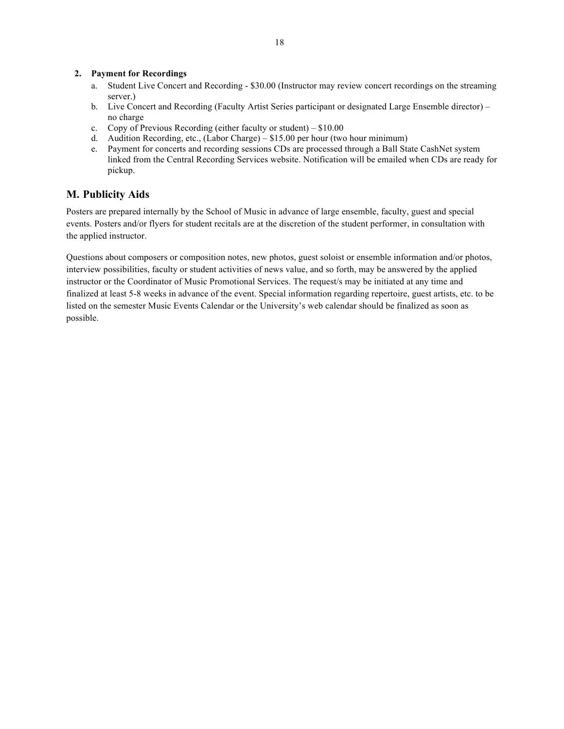### **2. Payment for Recordings**

- a. Student Live Concert and Recording \$30.00 (Instructor may review concert recordings on the streaming server.)
- b. Live Concert and Recording (Faculty Artist Series participant or designated Large Ensemble director) no charge
- c. Copy of Previous Recording (either faculty or student) \$10.00
- d. Audition Recording, etc., (Labor Charge) \$15.00 per hour (two hour minimum)
- e. Payment for concerts and recording sessions CDs are processed through a Ball State CashNet system linked from the Central Recording Services website. Notification will be emailed when CDs are ready for pickup.

## **M. Publicity Aids**

Posters are prepared internally by the School of Music in advance of large ensemble, faculty, guest and special events. Posters and/or flyers for student recitals are at the discretion of the student performer, in consultation with the applied instructor.

Questions about composers or composition notes, new photos, guest soloist or ensemble information and/or photos, interview possibilities, faculty or student activities of news value, and so forth, may be answered by the applied instructor or the Coordinator of Music Promotional Services. The request/s may be initiated at any time and finalized at least 5-8 weeks in advance of the event. Special information regarding repertoire, guest artists, etc. to be listed on the semester Music Events Calendar or the University's web calendar should be finalized as soon as possible.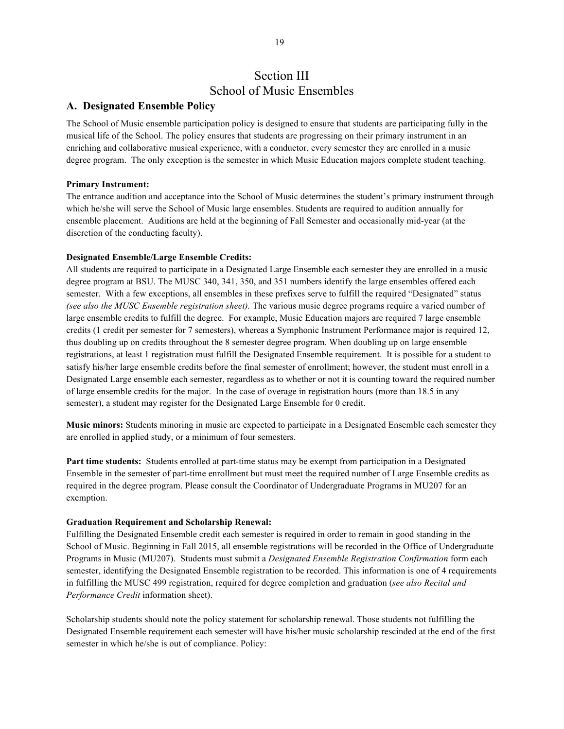## Section III School of Music Ensembles

## **A. Designated Ensemble Policy**

The School of Music ensemble participation policy is designed to ensure that students are participating fully in the musical life of the School. The policy ensures that students are progressing on their primary instrument in an enriching and collaborative musical experience, with a conductor, every semester they are enrolled in a music degree program. The only exception is the semester in which Music Education majors complete student teaching.

#### **Primary Instrument:**

The entrance audition and acceptance into the School of Music determines the student's primary instrument through which he/she will serve the School of Music large ensembles. Students are required to audition annually for ensemble placement. Auditions are held at the beginning of Fall Semester and occasionally mid-year (at the discretion of the conducting faculty).

#### **Designated Ensemble/Large Ensemble Credits:**

All students are required to participate in a Designated Large Ensemble each semester they are enrolled in a music degree program at BSU. The MUSC 340, 341, 350, and 351 numbers identify the large ensembles offered each semester. With a few exceptions, all ensembles in these prefixes serve to fulfill the required "Designated" status *(see also the MUSC Ensemble registration sheet).* The various music degree programs require a varied number of large ensemble credits to fulfill the degree. For example, Music Education majors are required 7 large ensemble credits (1 credit per semester for 7 semesters), whereas a Symphonic Instrument Performance major is required 12, thus doubling up on credits throughout the 8 semester degree program. When doubling up on large ensemble registrations, at least 1 registration must fulfill the Designated Ensemble requirement. It is possible for a student to satisfy his/her large ensemble credits before the final semester of enrollment; however, the student must enroll in a Designated Large ensemble each semester, regardless as to whether or not it is counting toward the required number of large ensemble credits for the major. In the case of overage in registration hours (more than 18.5 in any semester), a student may register for the Designated Large Ensemble for 0 credit.

**Music minors:** Students minoring in music are expected to participate in a Designated Ensemble each semester they are enrolled in applied study, or a minimum of four semesters.

**Part time students:** Students enrolled at part-time status may be exempt from participation in a Designated Ensemble in the semester of part-time enrollment but must meet the required number of Large Ensemble credits as required in the degree program. Please consult the Coordinator of Undergraduate Programs in MU207 for an exemption.

#### **Graduation Requirement and Scholarship Renewal:**

Fulfilling the Designated Ensemble credit each semester is required in order to remain in good standing in the School of Music. Beginning in Fall 2015, all ensemble registrations will be recorded in the Office of Undergraduate Programs in Music (MU207). Students must submit a *Designated Ensemble Registration Confirmation* form each semester, identifying the Designated Ensemble registration to be recorded. This information is one of 4 requirements in fulfilling the MUSC 499 registration, required for degree completion and graduation (*see also Recital and Performance Credit* information sheet).

Scholarship students should note the policy statement for scholarship renewal. Those students not fulfilling the Designated Ensemble requirement each semester will have his/her music scholarship rescinded at the end of the first semester in which he/she is out of compliance. Policy: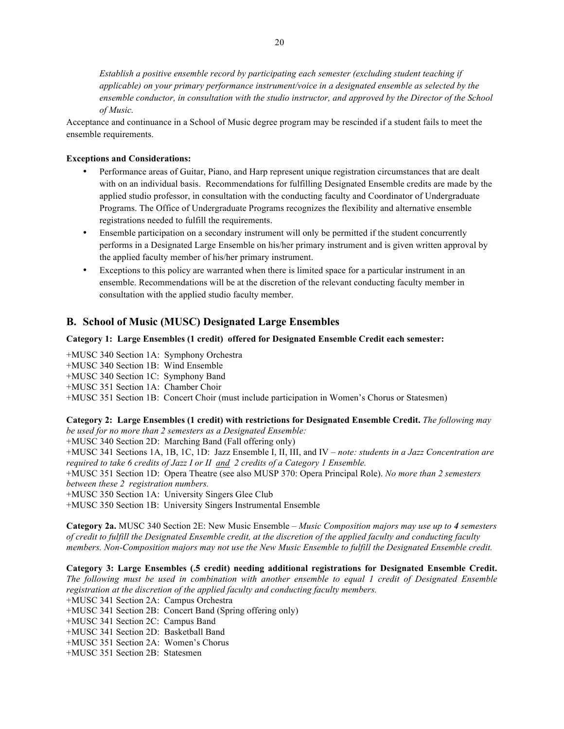*Establish a positive ensemble record by participating each semester (excluding student teaching if applicable) on your primary performance instrument/voice in a designated ensemble as selected by the ensemble conductor, in consultation with the studio instructor, and approved by the Director of the School of Music.* 

Acceptance and continuance in a School of Music degree program may be rescinded if a student fails to meet the ensemble requirements.

#### **Exceptions and Considerations:**

- Performance areas of Guitar, Piano, and Harp represent unique registration circumstances that are dealt with on an individual basis. Recommendations for fulfilling Designated Ensemble credits are made by the applied studio professor, in consultation with the conducting faculty and Coordinator of Undergraduate Programs. The Office of Undergraduate Programs recognizes the flexibility and alternative ensemble registrations needed to fulfill the requirements.
- Ensemble participation on a secondary instrument will only be permitted if the student concurrently performs in a Designated Large Ensemble on his/her primary instrument and is given written approval by the applied faculty member of his/her primary instrument.
- Exceptions to this policy are warranted when there is limited space for a particular instrument in an ensemble. Recommendations will be at the discretion of the relevant conducting faculty member in consultation with the applied studio faculty member.

#### **B. School of Music (MUSC) Designated Large Ensembles**

#### **Category 1: Large Ensembles (1 credit) offered for Designated Ensemble Credit each semester:**

+MUSC 340 Section 1A: Symphony Orchestra

+MUSC 340 Section 1B: Wind Ensemble

+MUSC 340 Section 1C: Symphony Band

+MUSC 351 Section 1A: Chamber Choir

+MUSC 351 Section 1B: Concert Choir (must include participation in Women's Chorus or Statesmen)

#### **Category 2: Large Ensembles (1 credit) with restrictions for Designated Ensemble Credit.** *The following may be used for no more than 2 semesters as a Designated Ensemble:*

+MUSC 340 Section 2D: Marching Band (Fall offering only)

+MUSC 341 Sections 1A, 1B, 1C, 1D: Jazz Ensemble I, II, III, and IV – *note: students in a Jazz Concentration are required to take 6 credits of Jazz I or II and 2 credits of a Category 1 Ensemble.* 

+MUSC 351 Section 1D: Opera Theatre (see also MUSP 370: Opera Principal Role). *No more than 2 semesters between these 2 registration numbers.*

+MUSC 350 Section 1A: University Singers Glee Club

+MUSC 350 Section 1B: University Singers Instrumental Ensemble

**Category 2a.** MUSC 340 Section 2E: New Music Ensemble – *Music Composition majors may use up to 4 semesters of credit to fulfill the Designated Ensemble credit, at the discretion of the applied faculty and conducting faculty members. Non-Composition majors may not use the New Music Ensemble to fulfill the Designated Ensemble credit.*

**Category 3: Large Ensembles (.5 credit) needing additional registrations for Designated Ensemble Credit.**  *The following must be used in combination with another ensemble to equal 1 credit of Designated Ensemble registration at the discretion of the applied faculty and conducting faculty members.* 

+MUSC 341 Section 2A: Campus Orchestra

- +MUSC 341 Section 2B: Concert Band (Spring offering only)
- +MUSC 341 Section 2C: Campus Band
- +MUSC 341 Section 2D: Basketball Band
- +MUSC 351 Section 2A: Women's Chorus
- +MUSC 351 Section 2B: Statesmen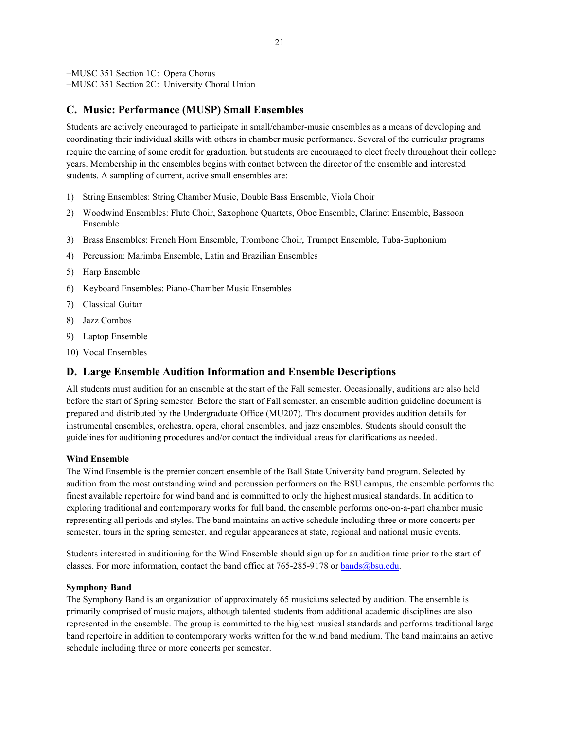+MUSC 351 Section 1C: Opera Chorus +MUSC 351 Section 2C: University Choral Union

### **C. Music: Performance (MUSP) Small Ensembles**

Students are actively encouraged to participate in small/chamber-music ensembles as a means of developing and coordinating their individual skills with others in chamber music performance. Several of the curricular programs require the earning of some credit for graduation, but students are encouraged to elect freely throughout their college years. Membership in the ensembles begins with contact between the director of the ensemble and interested students. A sampling of current, active small ensembles are:

- 1) String Ensembles: String Chamber Music, Double Bass Ensemble, Viola Choir
- 2) Woodwind Ensembles: Flute Choir, Saxophone Quartets, Oboe Ensemble, Clarinet Ensemble, Bassoon Ensemble
- 3) Brass Ensembles: French Horn Ensemble, Trombone Choir, Trumpet Ensemble, Tuba-Euphonium
- 4) Percussion: Marimba Ensemble, Latin and Brazilian Ensembles
- 5) Harp Ensemble
- 6) Keyboard Ensembles: Piano-Chamber Music Ensembles
- 7) Classical Guitar
- 8) Jazz Combos
- 9) Laptop Ensemble
- 10) Vocal Ensembles

### **D. Large Ensemble Audition Information and Ensemble Descriptions**

All students must audition for an ensemble at the start of the Fall semester. Occasionally, auditions are also held before the start of Spring semester. Before the start of Fall semester, an ensemble audition guideline document is prepared and distributed by the Undergraduate Office (MU207). This document provides audition details for instrumental ensembles, orchestra, opera, choral ensembles, and jazz ensembles. Students should consult the guidelines for auditioning procedures and/or contact the individual areas for clarifications as needed.

#### **Wind Ensemble**

The Wind Ensemble is the premier concert ensemble of the Ball State University band program. Selected by audition from the most outstanding wind and percussion performers on the BSU campus, the ensemble performs the finest available repertoire for wind band and is committed to only the highest musical standards. In addition to exploring traditional and contemporary works for full band, the ensemble performs one-on-a-part chamber music representing all periods and styles. The band maintains an active schedule including three or more concerts per semester, tours in the spring semester, and regular appearances at state, regional and national music events.

Students interested in auditioning for the Wind Ensemble should sign up for an audition time prior to the start of classes. For more information, contact the band office at 765-285-9178 or bands@bsu.edu.

#### **Symphony Band**

The Symphony Band is an organization of approximately 65 musicians selected by audition. The ensemble is primarily comprised of music majors, although talented students from additional academic disciplines are also represented in the ensemble. The group is committed to the highest musical standards and performs traditional large band repertoire in addition to contemporary works written for the wind band medium. The band maintains an active schedule including three or more concerts per semester.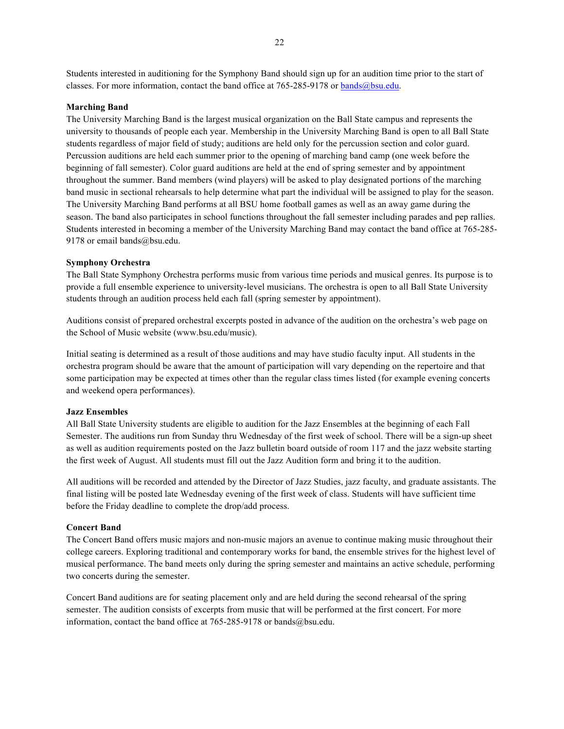Students interested in auditioning for the Symphony Band should sign up for an audition time prior to the start of classes. For more information, contact the band office at 765-285-9178 or bands@bsu.edu.

#### **Marching Band**

The University Marching Band is the largest musical organization on the Ball State campus and represents the university to thousands of people each year. Membership in the University Marching Band is open to all Ball State students regardless of major field of study; auditions are held only for the percussion section and color guard. Percussion auditions are held each summer prior to the opening of marching band camp (one week before the beginning of fall semester). Color guard auditions are held at the end of spring semester and by appointment throughout the summer. Band members (wind players) will be asked to play designated portions of the marching band music in sectional rehearsals to help determine what part the individual will be assigned to play for the season. The University Marching Band performs at all BSU home football games as well as an away game during the season. The band also participates in school functions throughout the fall semester including parades and pep rallies. Students interested in becoming a member of the University Marching Band may contact the band office at 765-285- 9178 or email bands@bsu.edu.

#### **Symphony Orchestra**

The Ball State Symphony Orchestra performs music from various time periods and musical genres. Its purpose is to provide a full ensemble experience to university-level musicians. The orchestra is open to all Ball State University students through an audition process held each fall (spring semester by appointment).

Auditions consist of prepared orchestral excerpts posted in advance of the audition on the orchestra's web page on the School of Music website (www.bsu.edu/music).

Initial seating is determined as a result of those auditions and may have studio faculty input. All students in the orchestra program should be aware that the amount of participation will vary depending on the repertoire and that some participation may be expected at times other than the regular class times listed (for example evening concerts and weekend opera performances).

#### **Jazz Ensembles**

All Ball State University students are eligible to audition for the Jazz Ensembles at the beginning of each Fall Semester. The auditions run from Sunday thru Wednesday of the first week of school. There will be a sign-up sheet as well as audition requirements posted on the Jazz bulletin board outside of room 117 and the jazz website starting the first week of August. All students must fill out the Jazz Audition form and bring it to the audition.

All auditions will be recorded and attended by the Director of Jazz Studies, jazz faculty, and graduate assistants. The final listing will be posted late Wednesday evening of the first week of class. Students will have sufficient time before the Friday deadline to complete the drop/add process.

#### **Concert Band**

The Concert Band offers music majors and non-music majors an avenue to continue making music throughout their college careers. Exploring traditional and contemporary works for band, the ensemble strives for the highest level of musical performance. The band meets only during the spring semester and maintains an active schedule, performing two concerts during the semester.

Concert Band auditions are for seating placement only and are held during the second rehearsal of the spring semester. The audition consists of excerpts from music that will be performed at the first concert. For more information, contact the band office at 765-285-9178 or bands@bsu.edu.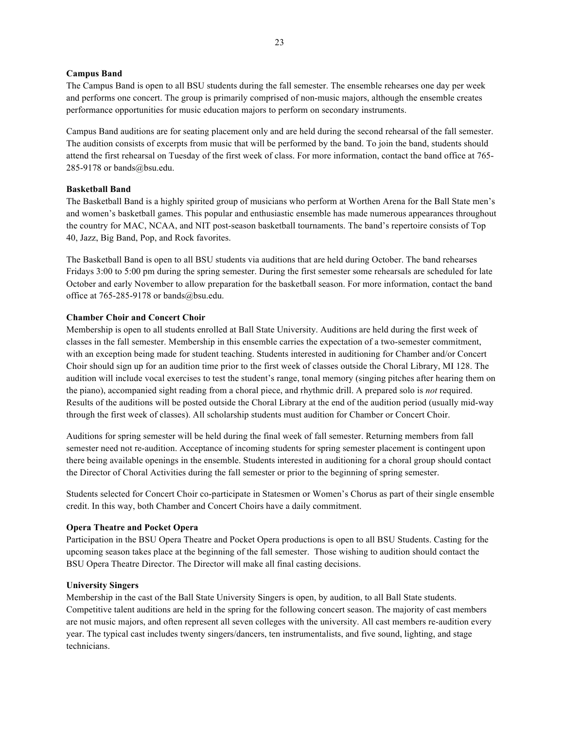#### **Campus Band**

The Campus Band is open to all BSU students during the fall semester. The ensemble rehearses one day per week and performs one concert. The group is primarily comprised of non-music majors, although the ensemble creates performance opportunities for music education majors to perform on secondary instruments.

Campus Band auditions are for seating placement only and are held during the second rehearsal of the fall semester. The audition consists of excerpts from music that will be performed by the band. To join the band, students should attend the first rehearsal on Tuesday of the first week of class. For more information, contact the band office at 765- 285-9178 or bands@bsu.edu.

#### **Basketball Band**

The Basketball Band is a highly spirited group of musicians who perform at Worthen Arena for the Ball State men's and women's basketball games. This popular and enthusiastic ensemble has made numerous appearances throughout the country for MAC, NCAA, and NIT post-season basketball tournaments. The band's repertoire consists of Top 40, Jazz, Big Band, Pop, and Rock favorites.

The Basketball Band is open to all BSU students via auditions that are held during October. The band rehearses Fridays 3:00 to 5:00 pm during the spring semester. During the first semester some rehearsals are scheduled for late October and early November to allow preparation for the basketball season. For more information, contact the band office at  $765-285-9178$  or bands@bsu.edu.

#### **Chamber Choir and Concert Choir**

Membership is open to all students enrolled at Ball State University. Auditions are held during the first week of classes in the fall semester. Membership in this ensemble carries the expectation of a two-semester commitment, with an exception being made for student teaching. Students interested in auditioning for Chamber and/or Concert Choir should sign up for an audition time prior to the first week of classes outside the Choral Library, MI 128. The audition will include vocal exercises to test the student's range, tonal memory (singing pitches after hearing them on the piano), accompanied sight reading from a choral piece, and rhythmic drill. A prepared solo is *not* required. Results of the auditions will be posted outside the Choral Library at the end of the audition period (usually mid-way through the first week of classes). All scholarship students must audition for Chamber or Concert Choir.

Auditions for spring semester will be held during the final week of fall semester. Returning members from fall semester need not re-audition. Acceptance of incoming students for spring semester placement is contingent upon there being available openings in the ensemble. Students interested in auditioning for a choral group should contact the Director of Choral Activities during the fall semester or prior to the beginning of spring semester.

Students selected for Concert Choir co-participate in Statesmen or Women's Chorus as part of their single ensemble credit. In this way, both Chamber and Concert Choirs have a daily commitment.

#### **Opera Theatre and Pocket Opera**

Participation in the BSU Opera Theatre and Pocket Opera productions is open to all BSU Students. Casting for the upcoming season takes place at the beginning of the fall semester. Those wishing to audition should contact the BSU Opera Theatre Director. The Director will make all final casting decisions.

#### **University Singers**

Membership in the cast of the Ball State University Singers is open, by audition, to all Ball State students. Competitive talent auditions are held in the spring for the following concert season. The majority of cast members are not music majors, and often represent all seven colleges with the university. All cast members re-audition every year. The typical cast includes twenty singers/dancers, ten instrumentalists, and five sound, lighting, and stage technicians.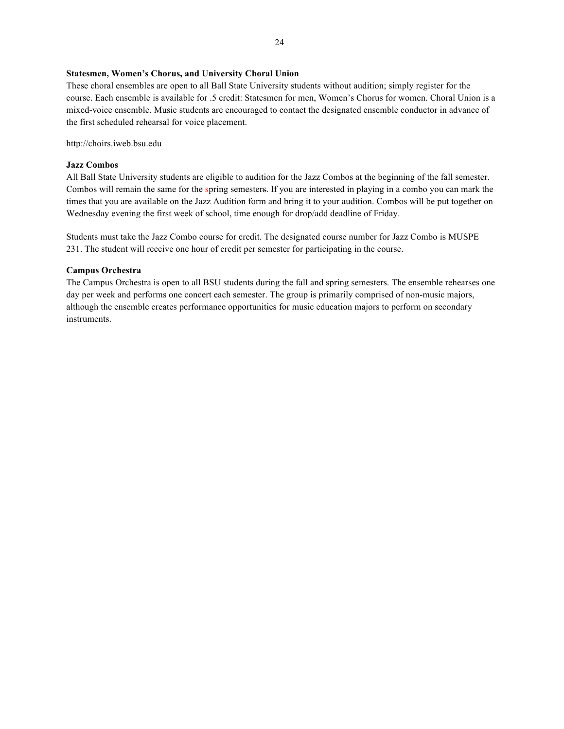#### **Statesmen, Women's Chorus, and University Choral Union**

These choral ensembles are open to all Ball State University students without audition; simply register for the course. Each ensemble is available for .5 credit: Statesmen for men, Women's Chorus for women. Choral Union is a mixed-voice ensemble. Music students are encouraged to contact the designated ensemble conductor in advance of the first scheduled rehearsal for voice placement.

http://choirs.iweb.bsu.edu

#### **Jazz Combos**

All Ball State University students are eligible to audition for the Jazz Combos at the beginning of the fall semester. Combos will remain the same for the spring semesters. If you are interested in playing in a combo you can mark the times that you are available on the Jazz Audition form and bring it to your audition. Combos will be put together on Wednesday evening the first week of school, time enough for drop/add deadline of Friday.

Students must take the Jazz Combo course for credit. The designated course number for Jazz Combo is MUSPE 231. The student will receive one hour of credit per semester for participating in the course.

#### **Campus Orchestra**

The Campus Orchestra is open to all BSU students during the fall and spring semesters. The ensemble rehearses one day per week and performs one concert each semester. The group is primarily comprised of non-music majors, although the ensemble creates performance opportunities for music education majors to perform on secondary instruments.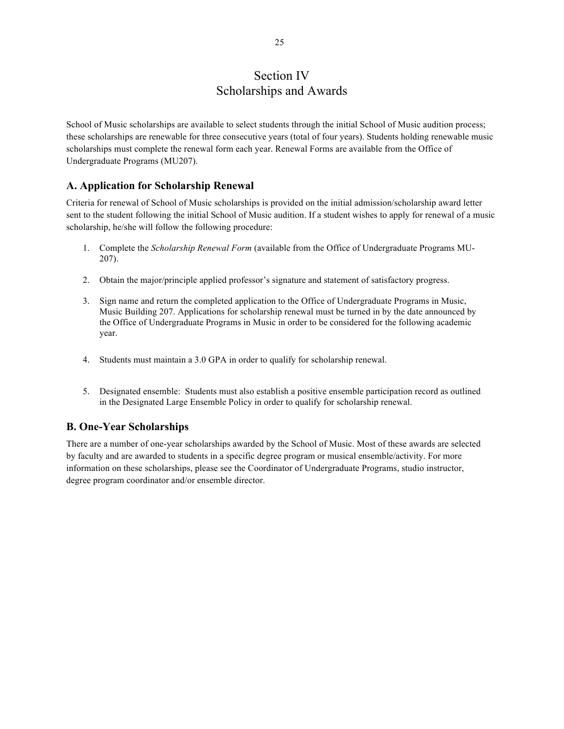# Section IV Scholarships and Awards

School of Music scholarships are available to select students through the initial School of Music audition process; these scholarships are renewable for three consecutive years (total of four years). Students holding renewable music scholarships must complete the renewal form each year. Renewal Forms are available from the Office of Undergraduate Programs (MU207).

## **A. Application for Scholarship Renewal**

Criteria for renewal of School of Music scholarships is provided on the initial admission/scholarship award letter sent to the student following the initial School of Music audition. If a student wishes to apply for renewal of a music scholarship, he/she will follow the following procedure:

- 1. Complete the *Scholarship Renewal Form* (available from the Office of Undergraduate Programs MU-207).
- 2. Obtain the major/principle applied professor's signature and statement of satisfactory progress.
- 3. Sign name and return the completed application to the Office of Undergraduate Programs in Music, Music Building 207. Applications for scholarship renewal must be turned in by the date announced by the Office of Undergraduate Programs in Music in order to be considered for the following academic year.
- 4. Students must maintain a 3.0 GPA in order to qualify for scholarship renewal.
- 5. Designated ensemble: Students must also establish a positive ensemble participation record as outlined in the Designated Large Ensemble Policy in order to qualify for scholarship renewal.

## **B. One-Year Scholarships**

There are a number of one-year scholarships awarded by the School of Music. Most of these awards are selected by faculty and are awarded to students in a specific degree program or musical ensemble/activity. For more information on these scholarships, please see the Coordinator of Undergraduate Programs, studio instructor, degree program coordinator and/or ensemble director.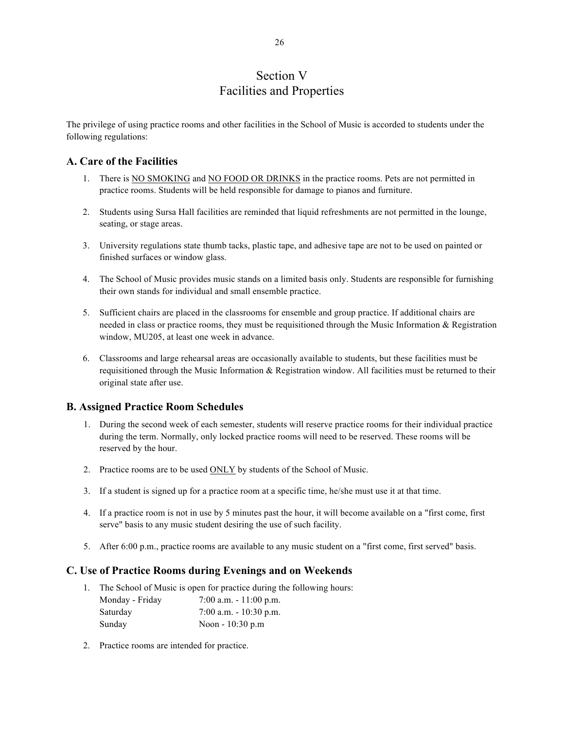# Section V Facilities and Properties

The privilege of using practice rooms and other facilities in the School of Music is accorded to students under the following regulations:

## **A. Care of the Facilities**

- 1. There is NO SMOKING and NO FOOD OR DRINKS in the practice rooms. Pets are not permitted in practice rooms. Students will be held responsible for damage to pianos and furniture.
- 2. Students using Sursa Hall facilities are reminded that liquid refreshments are not permitted in the lounge, seating, or stage areas.
- 3. University regulations state thumb tacks, plastic tape, and adhesive tape are not to be used on painted or finished surfaces or window glass.
- 4. The School of Music provides music stands on a limited basis only. Students are responsible for furnishing their own stands for individual and small ensemble practice.
- 5. Sufficient chairs are placed in the classrooms for ensemble and group practice. If additional chairs are needed in class or practice rooms, they must be requisitioned through the Music Information & Registration window, MU205, at least one week in advance.
- 6. Classrooms and large rehearsal areas are occasionally available to students, but these facilities must be requisitioned through the Music Information & Registration window. All facilities must be returned to their original state after use.

## **B. Assigned Practice Room Schedules**

- 1. During the second week of each semester, students will reserve practice rooms for their individual practice during the term. Normally, only locked practice rooms will need to be reserved. These rooms will be reserved by the hour.
- 2. Practice rooms are to be used ONLY by students of the School of Music.
- 3. If a student is signed up for a practice room at a specific time, he/she must use it at that time.
- 4. If a practice room is not in use by 5 minutes past the hour, it will become available on a "first come, first serve" basis to any music student desiring the use of such facility.
- 5. After 6:00 p.m., practice rooms are available to any music student on a "first come, first served" basis.

### **C. Use of Practice Rooms during Evenings and on Weekends**

- 1. The School of Music is open for practice during the following hours: Monday - Friday 7:00 a.m. - 11:00 p.m. Saturday 7:00 a.m. - 10:30 p.m. Sunday Noon - 10:30 p.m
- 2. Practice rooms are intended for practice.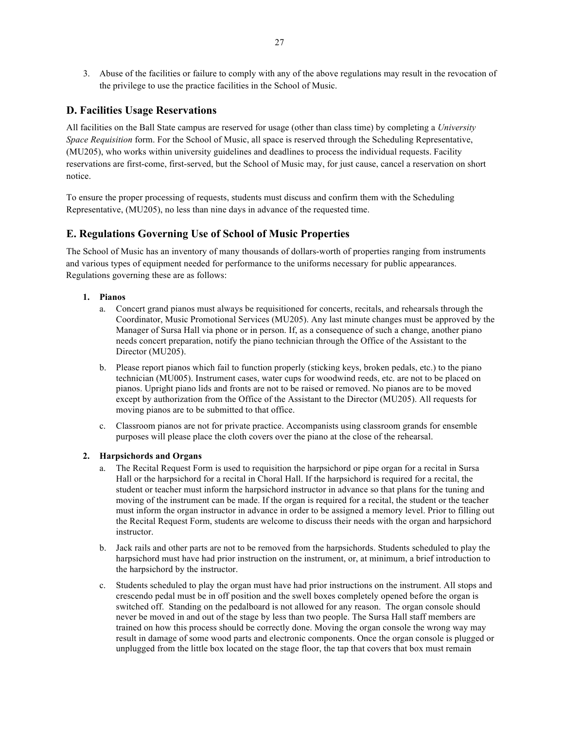3. Abuse of the facilities or failure to comply with any of the above regulations may result in the revocation of the privilege to use the practice facilities in the School of Music.

## **D. Facilities Usage Reservations**

All facilities on the Ball State campus are reserved for usage (other than class time) by completing a *University Space Requisition* form. For the School of Music, all space is reserved through the Scheduling Representative, (MU205), who works within university guidelines and deadlines to process the individual requests. Facility reservations are first-come, first-served, but the School of Music may, for just cause, cancel a reservation on short notice.

To ensure the proper processing of requests, students must discuss and confirm them with the Scheduling Representative, (MU205), no less than nine days in advance of the requested time.

## **E. Regulations Governing Use of School of Music Properties**

The School of Music has an inventory of many thousands of dollars-worth of properties ranging from instruments and various types of equipment needed for performance to the uniforms necessary for public appearances. Regulations governing these are as follows:

#### **1. Pianos**

- a. Concert grand pianos must always be requisitioned for concerts, recitals, and rehearsals through the Coordinator, Music Promotional Services (MU205). Any last minute changes must be approved by the Manager of Sursa Hall via phone or in person. If, as a consequence of such a change, another piano needs concert preparation, notify the piano technician through the Office of the Assistant to the Director (MU205).
- b. Please report pianos which fail to function properly (sticking keys, broken pedals, etc.) to the piano technician (MU005). Instrument cases, water cups for woodwind reeds, etc. are not to be placed on pianos. Upright piano lids and fronts are not to be raised or removed. No pianos are to be moved except by authorization from the Office of the Assistant to the Director (MU205). All requests for moving pianos are to be submitted to that office.
- c. Classroom pianos are not for private practice. Accompanists using classroom grands for ensemble purposes will please place the cloth covers over the piano at the close of the rehearsal.

#### **2. Harpsichords and Organs**

- a. The Recital Request Form is used to requisition the harpsichord or pipe organ for a recital in Sursa Hall or the harpsichord for a recital in Choral Hall. If the harpsichord is required for a recital, the student or teacher must inform the harpsichord instructor in advance so that plans for the tuning and moving of the instrument can be made. If the organ is required for a recital, the student or the teacher must inform the organ instructor in advance in order to be assigned a memory level. Prior to filling out the Recital Request Form, students are welcome to discuss their needs with the organ and harpsichord instructor.
- b. Jack rails and other parts are not to be removed from the harpsichords. Students scheduled to play the harpsichord must have had prior instruction on the instrument, or, at minimum, a brief introduction to the harpsichord by the instructor.
- c. Students scheduled to play the organ must have had prior instructions on the instrument. All stops and crescendo pedal must be in off position and the swell boxes completely opened before the organ is switched off. Standing on the pedalboard is not allowed for any reason. The organ console should never be moved in and out of the stage by less than two people. The Sursa Hall staff members are trained on how this process should be correctly done. Moving the organ console the wrong way may result in damage of some wood parts and electronic components. Once the organ console is plugged or unplugged from the little box located on the stage floor, the tap that covers that box must remain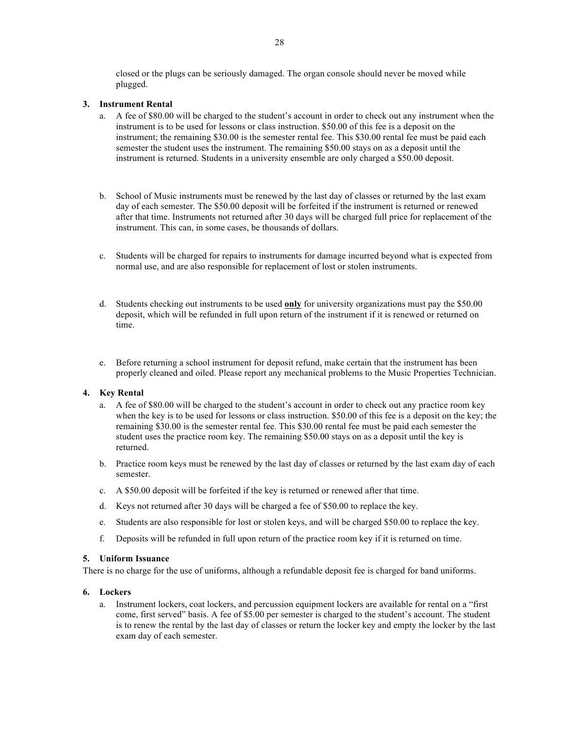closed or the plugs can be seriously damaged. The organ console should never be moved while plugged.

#### **3. Instrument Rental**

- a. A fee of \$80.00 will be charged to the student's account in order to check out any instrument when the instrument is to be used for lessons or class instruction. \$50.00 of this fee is a deposit on the instrument; the remaining \$30.00 is the semester rental fee. This \$30.00 rental fee must be paid each semester the student uses the instrument. The remaining \$50.00 stays on as a deposit until the instrument is returned. Students in a university ensemble are only charged a \$50.00 deposit.
- b. School of Music instruments must be renewed by the last day of classes or returned by the last exam day of each semester. The \$50.00 deposit will be forfeited if the instrument is returned or renewed after that time. Instruments not returned after 30 days will be charged full price for replacement of the instrument. This can, in some cases, be thousands of dollars.
- c. Students will be charged for repairs to instruments for damage incurred beyond what is expected from normal use, and are also responsible for replacement of lost or stolen instruments.
- d. Students checking out instruments to be used **only** for university organizations must pay the \$50.00 deposit, which will be refunded in full upon return of the instrument if it is renewed or returned on time.
- e. Before returning a school instrument for deposit refund, make certain that the instrument has been properly cleaned and oiled. Please report any mechanical problems to the Music Properties Technician.

#### **4. Key Rental**

- a. A fee of \$80.00 will be charged to the student's account in order to check out any practice room key when the key is to be used for lessons or class instruction. \$50.00 of this fee is a deposit on the key; the remaining \$30.00 is the semester rental fee. This \$30.00 rental fee must be paid each semester the student uses the practice room key. The remaining \$50.00 stays on as a deposit until the key is returned.
- b. Practice room keys must be renewed by the last day of classes or returned by the last exam day of each semester.
- c. A \$50.00 deposit will be forfeited if the key is returned or renewed after that time.
- d. Keys not returned after 30 days will be charged a fee of \$50.00 to replace the key.
- e. Students are also responsible for lost or stolen keys, and will be charged \$50.00 to replace the key.
- f. Deposits will be refunded in full upon return of the practice room key if it is returned on time.

#### **5. Uniform Issuance**

There is no charge for the use of uniforms, although a refundable deposit fee is charged for band uniforms.

### **6. Lockers**

a. Instrument lockers, coat lockers, and percussion equipment lockers are available for rental on a "first come, first served" basis. A fee of \$5.00 per semester is charged to the student's account. The student is to renew the rental by the last day of classes or return the locker key and empty the locker by the last exam day of each semester.